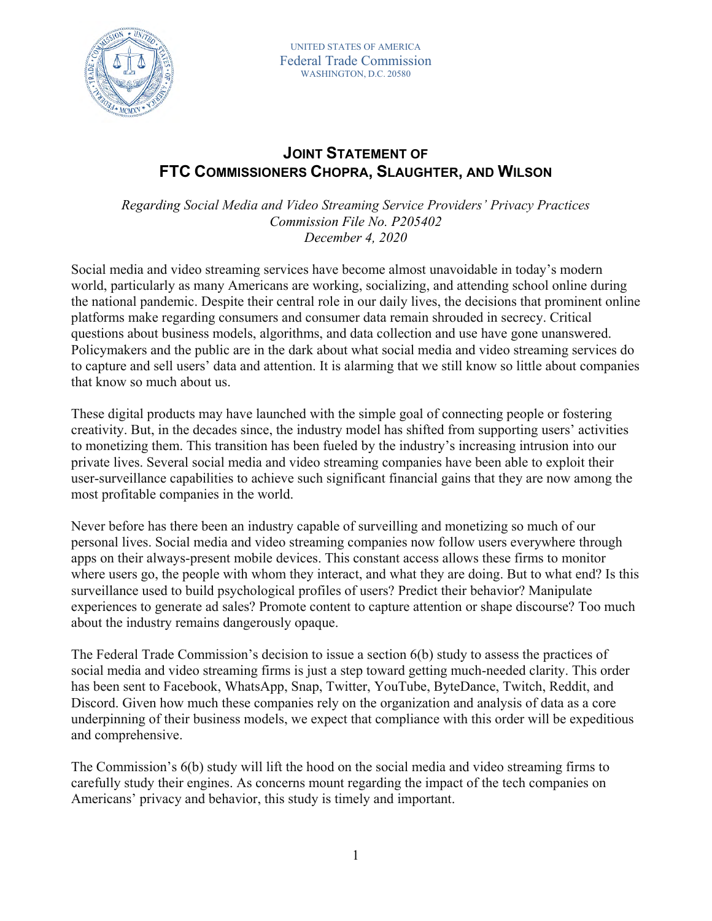

## **JOINT STATEMENT OF FTC COMMISSIONERS CHOPRA, SLAUGHTER, AND WILSON**

 *Regarding Social Media and Video Streaming Service Providers' Privacy Practices Commission File No. P205402 December 4, 2020* 

 platforms make regarding consumers and consumer data remain shrouded in secrecy. Critical Social media and video streaming services have become almost unavoidable in today's modern world, particularly as many Americans are working, socializing, and attending school online during the national pandemic. Despite their central role in our daily lives, the decisions that prominent online questions about business models, algorithms, and data collection and use have gone unanswered. Policymakers and the public are in the dark about what social media and video streaming services do to capture and sell users' data and attention. It is alarming that we still know so little about companies that know so much about us.

 creativity. But, in the decades since, the industry model has shifted from supporting users' activities These digital products may have launched with the simple goal of connecting people or fostering to monetizing them. This transition has been fueled by the industry's increasing intrusion into our private lives. Several social media and video streaming companies have been able to exploit their user-surveillance capabilities to achieve such significant financial gains that they are now among the most profitable companies in the world.

 personal lives. Social media and video streaming companies now follow users everywhere through experiences to generate ad sales? Promote content to capture attention or shape discourse? Too much Never before has there been an industry capable of surveilling and monetizing so much of our apps on their always-present mobile devices. This constant access allows these firms to monitor where users go, the people with whom they interact, and what they are doing. But to what end? Is this surveillance used to build psychological profiles of users? Predict their behavior? Manipulate about the industry remains dangerously opaque.

 Discord. Given how much these companies rely on the organization and analysis of data as a core The Federal Trade Commission's decision to issue a section 6(b) study to assess the practices of social media and video streaming firms is just a step toward getting much-needed clarity. This order has been sent to Facebook, WhatsApp, Snap, Twitter, YouTube, ByteDance, Twitch, Reddit, and underpinning of their business models, we expect that compliance with this order will be expeditious and comprehensive.

The Commission's 6(b) study will lift the hood on the social media and video streaming firms to carefully study their engines. As concerns mount regarding the impact of the tech companies on Americans' privacy and behavior, this study is timely and important.